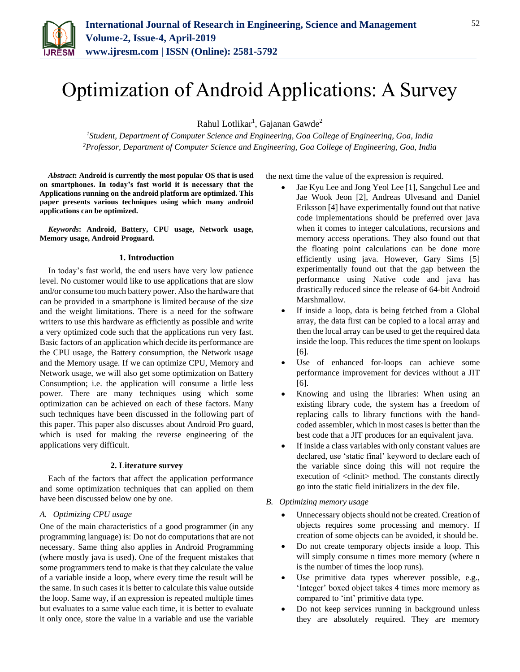

# Optimization of Android Applications: A Survey

Rahul Lotlikar<sup>1</sup>, Gajanan Gawde<sup>2</sup>

*<sup>1</sup>Student, Department of Computer Science and Engineering, Goa College of Engineering, Goa, India 2Professor, Department of Computer Science and Engineering, Goa College of Engineering, Goa, India*

*Abstract***: Android is currently the most popular OS that is used on smartphones. In today's fast world it is necessary that the Applications running on the android platform are optimized. This paper presents various techniques using which many android applications can be optimized.**

*Keywords***: Android, Battery, CPU usage, Network usage, Memory usage, Android Proguard.** 

#### **1. Introduction**

In today's fast world, the end users have very low patience level. No customer would like to use applications that are slow and/or consume too much battery power. Also the hardware that can be provided in a smartphone is limited because of the size and the weight limitations. There is a need for the software writers to use this hardware as efficiently as possible and write a very optimized code such that the applications run very fast. Basic factors of an application which decide its performance are the CPU usage, the Battery consumption, the Network usage and the Memory usage. If we can optimize CPU, Memory and Network usage, we will also get some optimization on Battery Consumption; i.e. the application will consume a little less power. There are many techniques using which some optimization can be achieved on each of these factors. Many such techniques have been discussed in the following part of this paper. This paper also discusses about Android Pro guard, which is used for making the reverse engineering of the applications very difficult.

#### **2. Literature survey**

Each of the factors that affect the application performance and some optimization techniques that can applied on them have been discussed below one by one.

#### *A. Optimizing CPU usage*

One of the main characteristics of a good programmer (in any programming language) is: Do not do computations that are not necessary. Same thing also applies in Android Programming (where mostly java is used). One of the frequent mistakes that some programmers tend to make is that they calculate the value of a variable inside a loop, where every time the result will be the same. In such cases it is better to calculate this value outside the loop. Same way, if an expression is repeated multiple times but evaluates to a same value each time, it is better to evaluate it only once, store the value in a variable and use the variable the next time the value of the expression is required.

- Jae Kyu Lee and Jong Yeol Lee [1], Sangchul Lee and Jae Wook Jeon [2], Andreas Ulvesand and Daniel Eriksson [4] have experimentally found out that native code implementations should be preferred over java when it comes to integer calculations, recursions and memory access operations. They also found out that the floating point calculations can be done more efficiently using java. However, Gary Sims [5] experimentally found out that the gap between the performance using Native code and java has drastically reduced since the release of 64-bit Android Marshmallow.
- If inside a loop, data is being fetched from a Global array, the data first can be copied to a local array and then the local array can be used to get the required data inside the loop. This reduces the time spent on lookups [6].
- Use of enhanced for-loops can achieve some performance improvement for devices without a JIT [6].
- Knowing and using the libraries: When using an existing library code, the system has a freedom of replacing calls to library functions with the handcoded assembler, which in most cases is better than the best code that a JIT produces for an equivalent java.
- If inside a class variables with only constant values are declared, use 'static final' keyword to declare each of the variable since doing this will not require the execution of  $\langle$ clinit $\rangle$  method. The constants directly go into the static field initializers in the dex file.
- *B. Optimizing memory usage*
	- Unnecessary objects should not be created. Creation of objects requires some processing and memory. If creation of some objects can be avoided, it should be.
	- Do not create temporary objects inside a loop. This will simply consume n times more memory (where n is the number of times the loop runs).
	- Use primitive data types wherever possible, e.g., 'Integer' boxed object takes 4 times more memory as compared to 'int' primitive data type.
	- Do not keep services running in background unless they are absolutely required. They are memory